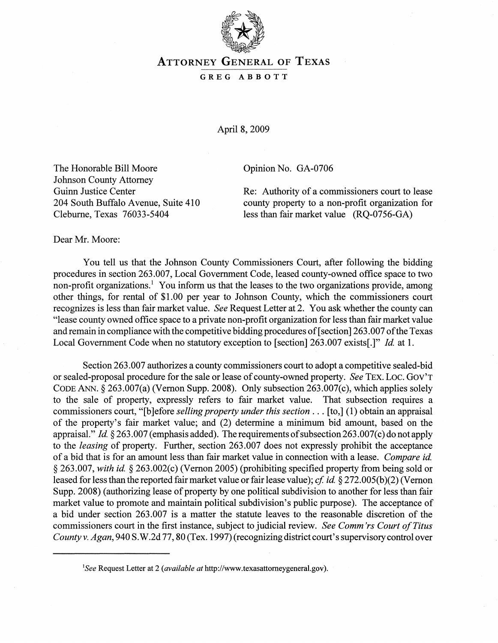

## ATTORNEY GENERAL OF TEXAS

## GREG ABBOTT

April 8, 2009

The Honorable Bill Moore Johnson County Attorney Guinn Justice Center 204 South Buffalo Avenue, Suite 410 Cleburne, Texas 76033-5404

Opinion No. GA-0706

Re: Authority of a commissioners court to lease county property to a non-profit organization for less than fair market value (RQ-0756-GA)

Dear Mr. Moore:

You tell us that the Johnson County Commissioners Court, after following the bidding procedures in section 263.007, Local Government Code, leased county-owned office space to two non-profit organizations.! You inform us that the leases to the two organizations provide, among other things, for rental of \$1.00 per year to Johnson County, which the commissioners court recognizes is less than fair market value. *See* Request Letter at 2. You ask whether the county can "lease county owned office space to a private non-profit organization for less than fair market value and remain in compliance with the competitive bidding procedures of [section] 263.007 ofthe Texas Local Government Code when no statutory exception to [section] 263.007 exists[.]" *Id* at 1.

Section 263.007 authorizes a county commissioners court to adopt a competitive sealed-bid or sealed-proposal procedure for the sale or lease of county-owned property. *See* TEX. Loc. GOV'T CODE ANN. § 263.007(a) (Vernon Supp. 2008). Only subsection 263.007(c), which applies solely to the sale of property, expressly refers to fair market value. That subsection requires a commissioners court, "[b ]efore *selling property under this section .* .. [to,] (1) obtain an appraisal of the property's fair market value; and (2) determine a minimum bid amount, based on the appraisal." *Id.* § 263.007 (emphasis added). The requirements of subsection 263.007(c) do not apply to the *leasing* of property. Further, section 263.007 does not expressly prohibit the acceptance of a bid that is for an amount less than fair market value in connection with a lease. *Compare id*  § 263.007, *with id* § 263.002(c) (Vernon 2005) (prohibiting specified property from being sold or leased for less than the reported fair market value or fair lease value); *cf. id.* § 272.005(b)(2) (Vernon Supp. 2008) (authorizing lease of property by one political subdivision to another for less than fair market value to promote and maintain political subdivision's public purpose). The acceptance of a bid under section 263.007 is a matter the statute leaves to the reasonable discretion of the commissioners court in the first instance, subject to judicial review. *See Comm'rs Court of Titus County* v. *Agan,* 940 S. W.2d 77, 80 (Tex. 1997) (recognizing district court's supervisory control over

*ISee* Request Letter at 2 *(available at* http://www.texasattomeygeneral.gov).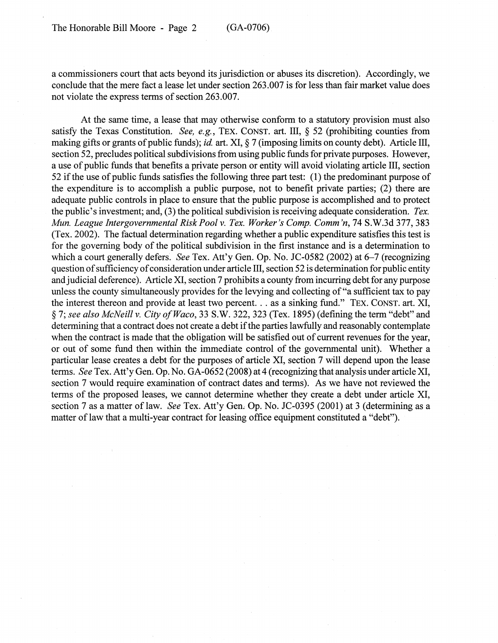a commissioners court that acts beyond its jurisdiction or abuses its discretion). Accordingly, we conclude that the mere fact a lease let under section 263.007 is for less than fair market value does not violate the express terms of section 263.007.

At the same time, a lease that may otherwise conform to a statutory provision must also satisfy the Texas Constitution. *See, e.g.,* TEx. CONST. art. III, § 52 (prohibiting counties from making gifts or grants of public funds); *id* art. XI, § 7 (imposing limits on county debt). Article III, section 52, precludes political subdivisions from using public funds for private purposes. However, a use of public funds that benefits a private person or entity will avoid violating article III, section 52 if the use of public funds satisfies the following three part test: (1) the predominant purpose of the expenditure is to accomplish a public purpose, not to benefit private parties; (2) there are adequate public controls in place to ensure that the public purpose is accomplished and to protect the public's investment; and, (3) the political subdivision is receiving adequate consideration. *Tex. Mun. League Intergovernmental Risk Pool v. Tex. Worker's Comp. Comm'n, 74 S.W.3d 377, 383* (Tex. 2002). The factual determination regarding whether a public expenditure satisfies this test is for the governing body of the political subdivision in the first instance and is a determination to which a court generally defers. *See* Tex. Att'y Gen. Op. No. JC-0582 (2002) at 6-7 (recognizing question of sufficiency of consideration under article III, section 52 is determination for public entity and judicial deference). Article XI, section 7 prohibits a county from incurring debt for any purpose unless the county simultaneously provides for the levying and collecting of "a sufficient tax to pay the interest thereon and provide at least two percent. .. as a sinking fund." TEX. CONST. art. XI, § 7; *see also McNeill* V. *City o/Waco,* 33 S.W. 322, 323 (Tex. 1895) (defining the term "debt" and determining that a contract does not create a debt if the parties lawfully and reasonably contemplate when the contract is made that the obligation will be satisfied out of current revenues for the year, or out of some fund then within the immediate control of the governmental unit). Whether a particular lease creates a debt for the purposes of article XI, section 7 will depend upon the lease terms. *See* Tex. Att'y Gen. Op. No. GA-0652 (2008) at 4 (recognizing that analysis under article XI, section 7 would require examination of contract dates and terms). As we have not reviewed the terms of the proposed leases, we cannot determine whether they create a debt under article XI, section 7 as a matter of law. *See Tex. Att'y Gen. Op. No. JC-0395 (2001)* at 3 (determining as a matter of law that a multi-year contract for leasing office equipment constituted a "debt").